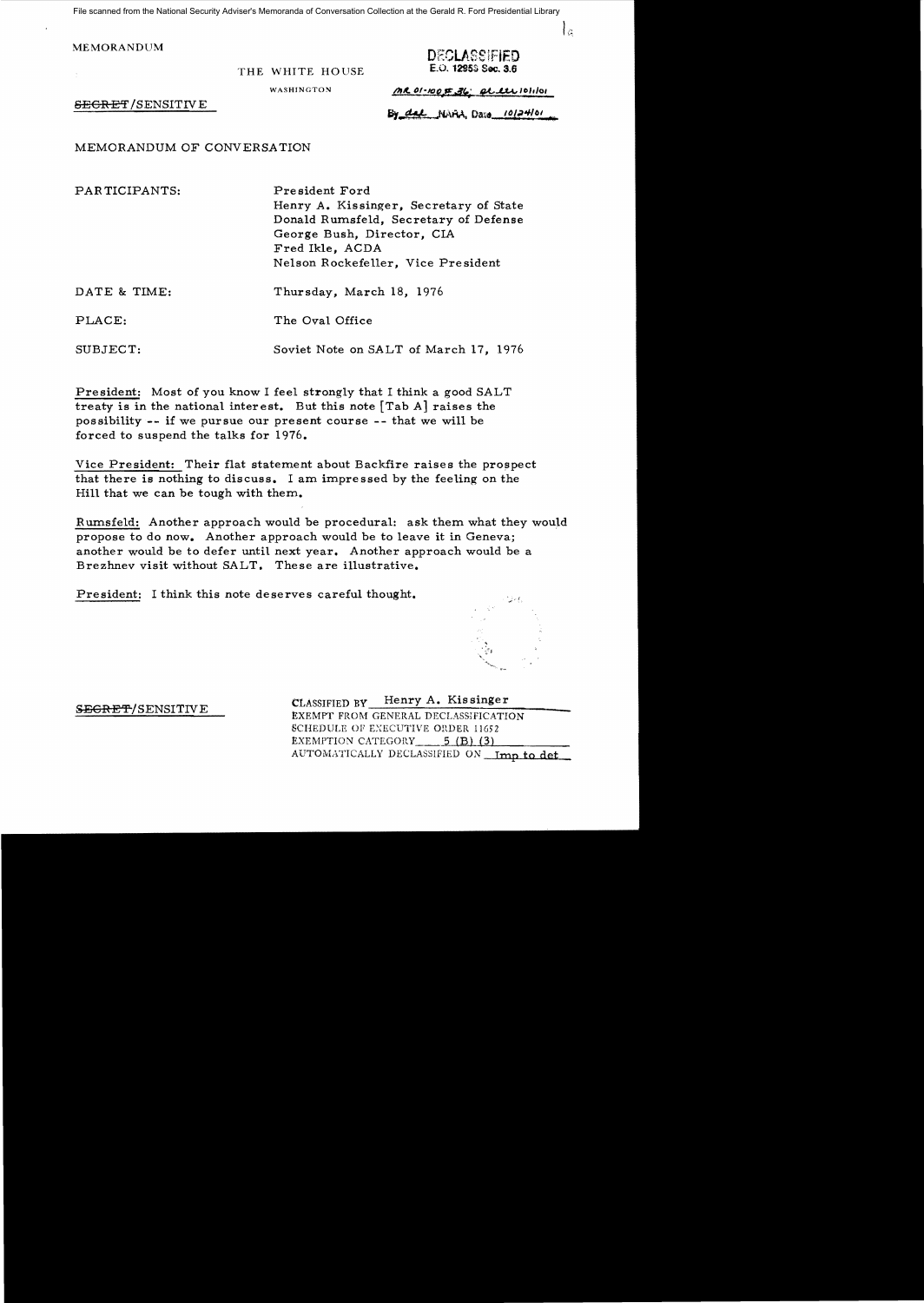File scanned from the National Security Adviser's Memoranda of Conversation Collection at the Gerald R. Ford Presidential Library

MEMORANDUM

THE WHITE HOUSE

DECLASSIFIED E.O. 12953 Sec. 3.6

 $\mathcal{L}_{\alpha}$ 

WASHINGTON *(AROI-100F.36' et ete* lolion

SECRET/SENSITIVE **FOR ALL NAA, Date** 10124/01

MEMORANDUM OF CONVERSATION

PAR TICIPANTS:

Pre sident Ford Henry A. Kissinger, Secretary of State Donald Rumsfeld, Secretary of Defense George Bush, Director, CIA Fred Ikle, ACDA Nelson Rockefeller, Vice President

Soviet Note on SALT of March 17, 1976

Thursday, March 18, 1976

DATE & TIME:

PLACE: The Oval Office

SUBJECT:

President: Most of you know I feel strongly that I think a good SALT treaty is in the national interest. But this note [Tab A] raises the possibility -- if we pursue our present course -- that we will be forced to suspend the talks for 1976.

Vice President: Their flat statement about Backfire raises the prospect that there is nothing to discuss. I am impressed by the feeling on the Hill that we can be tough with them.

Rumsfeld: Another approach would be procedural: ask them what they would propose to do now. Another approach would be to leave it in Geneva; another would be to defer until next year. Another approach would be a Brezhnev visit without SALT. These are illustrative.

President: I think this note deserves careful thought.



CLASSIFIED BY Henry A. Kissinger SEGRET/SENSITIVE EXEMPT FROM GENERAL DECLASSIFICATION SCHEDULE OF EXECUTIVE ORDER 11652 EXEMPTION CATEGORY  $-$  5 (B) (3) AUTOMATICALLY DECLASSIFIED ON Imp to det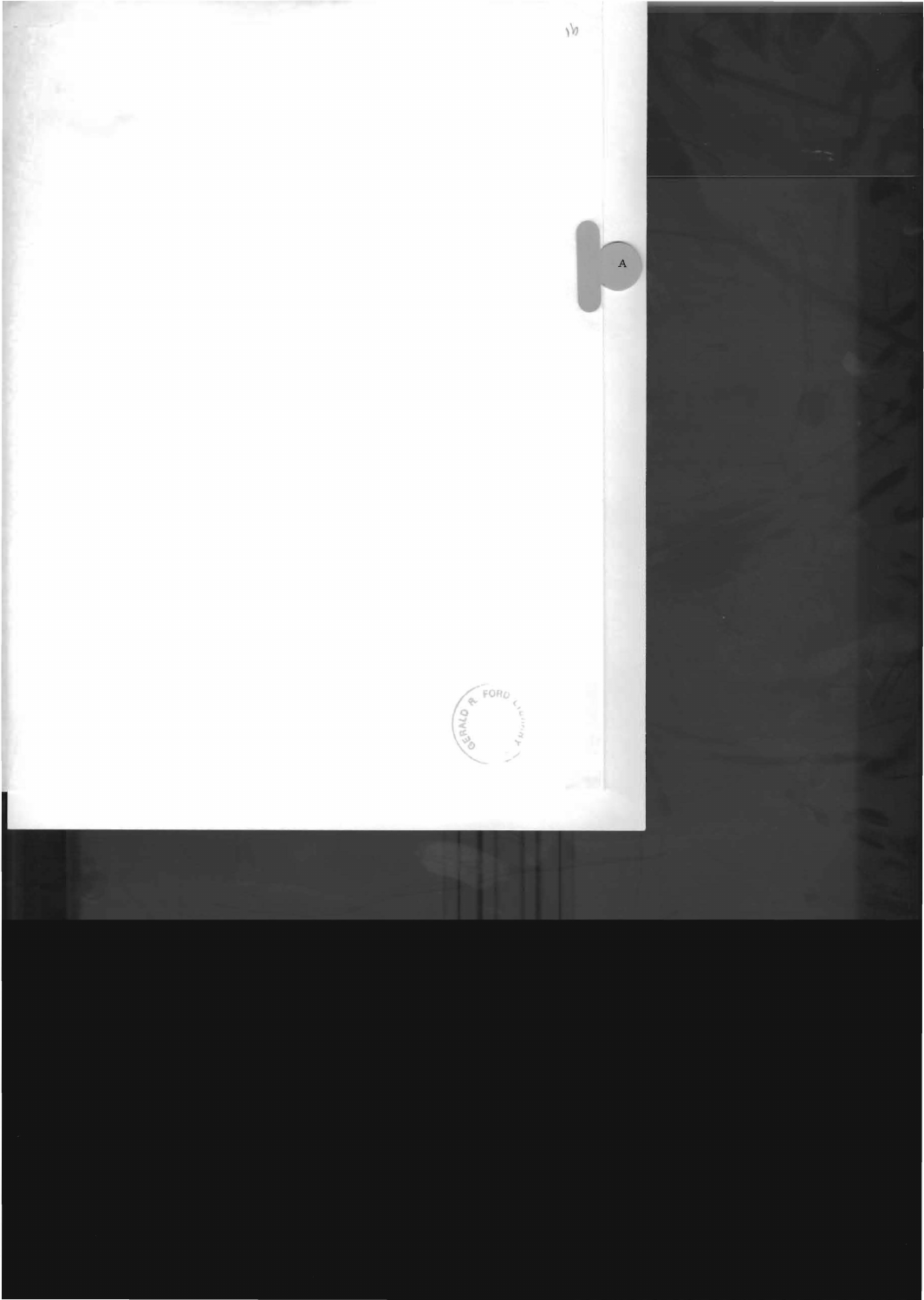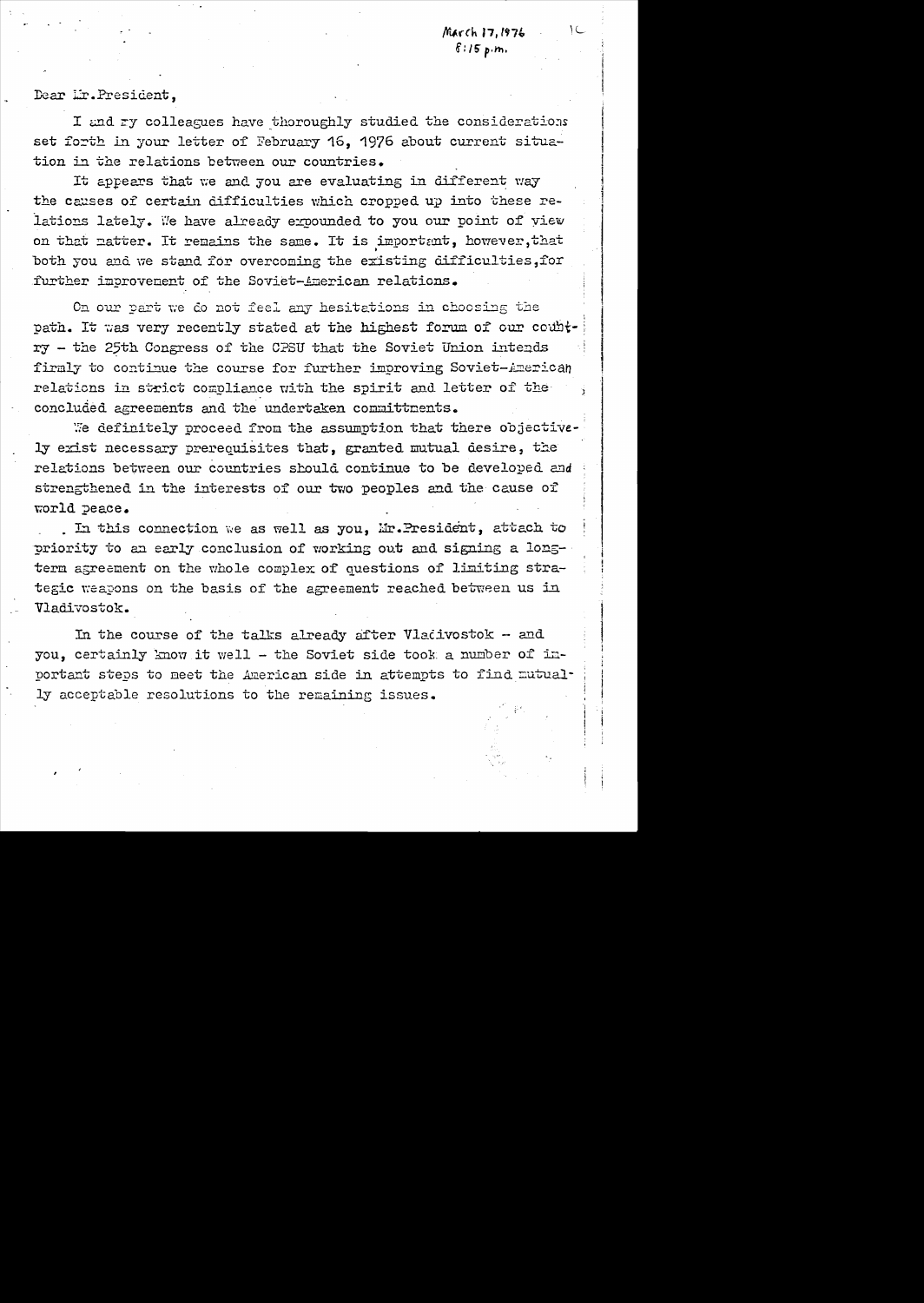March 17, 1976  $8:15$  p.m.

Dear Mr. President,

I and ry colleagues have thoroughly studied the considerations set forth in your letter of February 16, 1976 about current situation in the relations between our countries.

It appears that we and you are evaluating in different way the causes of certain difficulties which cropped up into these relations lately. We have already expounded to you our point of view on that matter. It remains the same. It is important, however, that both you and we stand for overcoming the existing difficulties, for further improvement of the Soviet-American relations.

On our part we do not feel any hesitations in choosing the path. It was very recently stated at the highest forum of our country - the 25th Congress of the CPSU that the Soviet Union intends firmly to continue the course for further improving Soviet-American relations in strict compliance with the spirit and letter of the concluded agreements and the undertaken committments.

We definitely proceed from the assumption that there objectively exist necessary prerequisites that, granted mutual desire, the relations between our countries should continue to be developed and strengthened in the interests of our two peoples and the cause of world peace.

. In this connection we as well as you, Mr. President, attach to priority to an early conclusion of working out and signing a longterm agreement on the whole complex of questions of limiting strategic weapons on the basis of the agreement reached between us in Vladivostok.

In the course of the talks already after Vlativostok  $-$  and you, certainly know it well - the Soviet side took a number of inportant steps to meet the American side in attempts to find mutually acceptable resolutions to the remaining issues.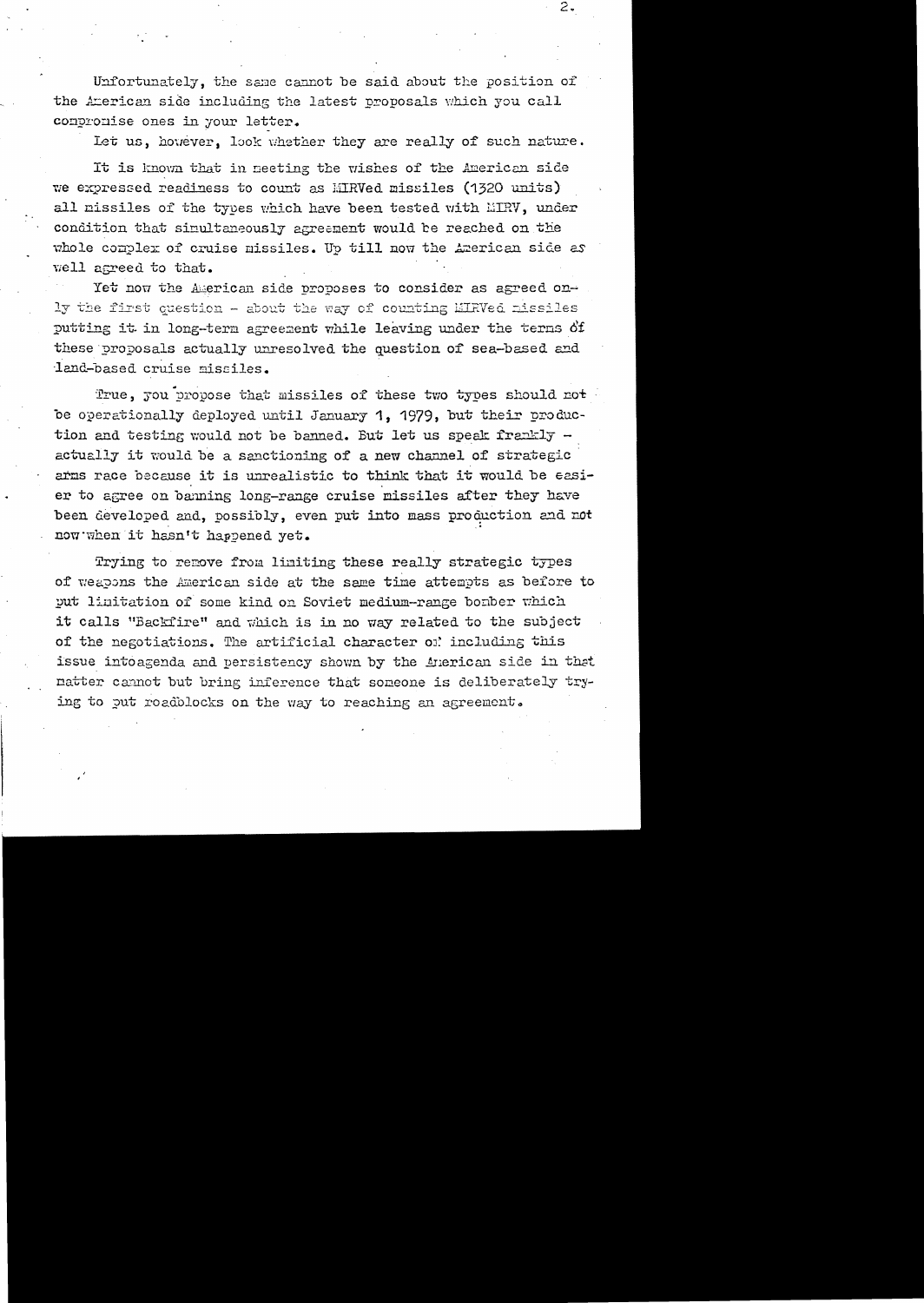Unfortunately, the same cannot be said about the position of the American side including the latest proposals which you call conpromise ones in your letter.

Let us, however, look whether they are really of such nature.

It is known that in meeting the wishes of the American side we expressed readiness to count as MIRVed missiles (1320 units) all missiles of the types which have been tested with MIRV, under condition that simultaneously agreement would be reached on the whole complex of cruise missiles. Up till now the American side as well agreed to that.

Yet now the American side proposes to consider as agreed only the first question - about the way of counting EIRVed missiles putting it in long-term agreement while leaving under the terms of these proposals actually unresolved the question of sea-based and land-based cruise missiles.

True, you propose that missiles of these two types should not be operationally deployed until January 1, 1979, but their production and testing would not be banned. But let us speak frankly actually it would be a sanctioning of a new channel of strategic arms race because it is unrealistic to think that it would be easier to agree on banning long-range cruise missiles after they have been developed and, possibly, even put into mass production and not now when it hasn't happened yet.

Trying to remove from limiting these really strategic types of weapons the American side at the same time attempts as before to put limitation of some kind on Soviet medium-range bomber which it calls "Backfire" and which is in no way related to the subject of the negotiations. The artificial character of including this issue into agenda and persistency shown by the American side in that matter cannot but bring inference that someone is deliberately trying to put roadblocks on the way to reaching an agreement.

 $2.$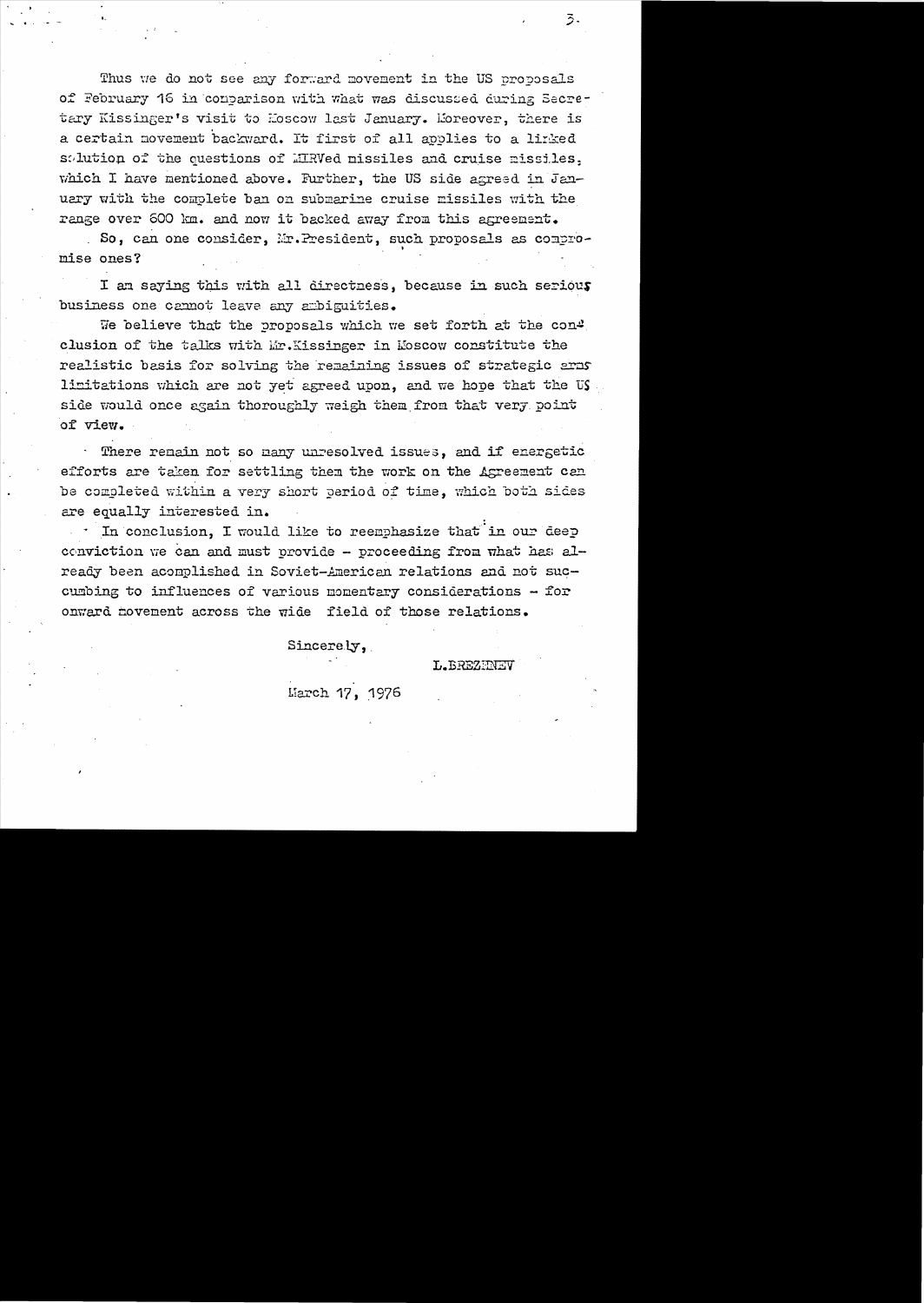Thus we do not see any forward movement in the US proposals of February 16 in convarison with what was discussed during Secretary Kissinger's visit to Hoscow last January. Moreover, there is a certain movement backward. It first of all applies to a linked solution of the questions of MRVed nissiles and cruise missiles, which I have mentioned above. Further, the US side agreed in January with the complete ban on submarine cruise missiles with the range over 600 km. and now it backed away from this agreement.

So, can one consider, Mr. President, such proposals as compromise ones?

I an saying this with all directness, because in such serious business one cannot leave any ambiguities.

We believe that the proposals which we set forth at the con4 clusion of the talks with Mr. Kissinger in Moscow constitute the realistic basis for solving the remaining issues of strategic arms limitations which are not yet agreed upon, and we hope that the US. side would once again thoroughly weigh them from that very point of view.

There remain not so many unresolved issues, and if energetic efforts are taken for settling then the work on the Agreement can be completed within a very short period of time, which both sides are equally interested in.

In conclusion, I would like to reemphasize that in our deep conviction we can and must provide - proceeding from what has already been acomplished in Soviet-American relations and not succumbing to influences of various momentary considerations  $-$  for onward movement across the wide field of those relations.

Sincerely,

L. BREZHNEV

March 17, 1976

3.